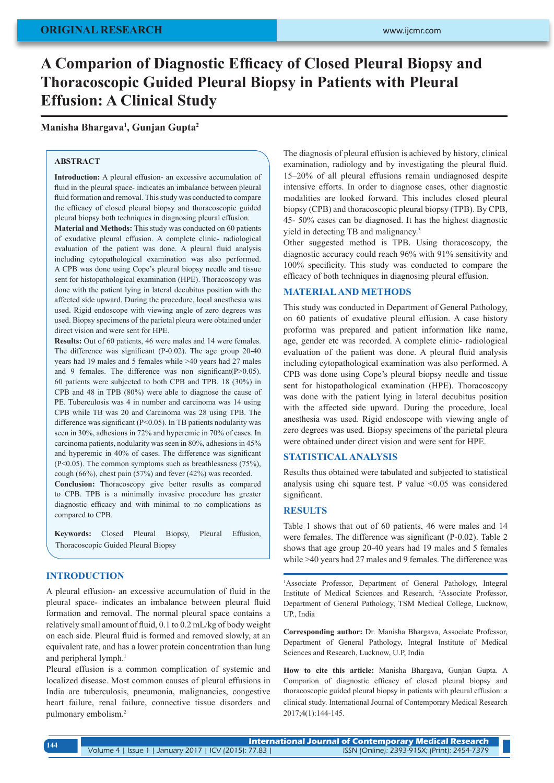# **A Comparion of Diagnostic Efficacy of Closed Pleural Biopsy and Thoracoscopic Guided Pleural Biopsy in Patients with Pleural Effusion: A Clinical Study**

**Manisha Bhargava<sup>1</sup> , Gunjan Gupta<sup>2</sup>**

### **ABSTRACT**

**Introduction:** A pleural effusion- an excessive accumulation of fluid in the pleural space- indicates an imbalance between pleural fluid formation and removal. This study was conducted to compare the efficacy of closed pleural biopsy and thoracoscopic guided pleural biopsy both techniques in diagnosing pleural effusion.

**Material and Methods:** This study was conducted on 60 patients of exudative pleural effusion. A complete clinic- radiological evaluation of the patient was done. A pleural fluid analysis including cytopathological examination was also performed. A CPB was done using Cope's pleural biopsy needle and tissue sent for histopathological examination (HPE). Thoracoscopy was done with the patient lying in lateral decubitus position with the affected side upward. During the procedure, local anesthesia was used. Rigid endoscope with viewing angle of zero degrees was used. Biopsy specimens of the parietal pleura were obtained under direct vision and were sent for HPE.

**Results:** Out of 60 patients, 46 were males and 14 were females. The difference was significant (P-0.02). The age group 20-40 years had 19 males and 5 females while >40 years had 27 males and 9 females. The difference was non significant(P>0.05). 60 patients were subjected to both CPB and TPB. 18 (30%) in CPB and 48 in TPB (80%) were able to diagnose the cause of PE. Tuberculosis was 4 in number and carcinoma was 14 using CPB while TB was 20 and Carcinoma was 28 using TPB. The difference was significant (P<0.05). In TB patients nodularity was seen in 30%, adhesions in 72% and hyperemic in 70% of cases. In carcinoma patients, nodularity was seen in 80%, adhesions in 45% and hyperemic in 40% of cases. The difference was significant (P<0.05). The common symptoms such as breathlessness (75%), cough (66%), chest pain (57%) and fever (42%) was recorded.

**Conclusion:** Thoracoscopy give better results as compared to CPB. TPB is a minimally invasive procedure has greater diagnostic efficacy and with minimal to no complications as compared to CPB.

**Keywords:** Closed Pleural Biopsy, Pleural Effusion, Thoracoscopic Guided Pleural Biopsy

# **INTRODUCTION**

A pleural effusion- an excessive accumulation of fluid in the pleural space- indicates an imbalance between pleural fluid formation and removal. The normal pleural space contains a relatively small amount of fluid, 0.1 to 0.2 mL/kg of body weight on each side. Pleural fluid is formed and removed slowly, at an equivalent rate, and has a lower protein concentration than lung and peripheral lymph.<sup>1</sup>

Pleural effusion is a common complication of systemic and localized disease. Most common causes of pleural effusions in India are tuberculosis, pneumonia, malignancies, congestive heart failure, renal failure, connective tissue disorders and pulmonary embolism.2

The diagnosis of pleural effusion is achieved by history, clinical examination, radiology and by investigating the pleural fluid. 15–20% of all pleural effusions remain undiagnosed despite intensive efforts. In order to diagnose cases, other diagnostic modalities are looked forward. This includes closed pleural biopsy (CPB) and thoracoscopic pleural biopsy (TPB). By CPB, 45- 50% cases can be diagnosed. It has the highest diagnostic yield in detecting TB and malignancy.<sup>3</sup>

Other suggested method is TPB. Using thoracoscopy, the diagnostic accuracy could reach 96% with 91% sensitivity and 100% specificity. This study was conducted to compare the efficacy of both techniques in diagnosing pleural effusion.

## **MATERIAL AND METHODS**

This study was conducted in Department of General Pathology, on 60 patients of exudative pleural effusion. A case history proforma was prepared and patient information like name, age, gender etc was recorded. A complete clinic- radiological evaluation of the patient was done. A pleural fluid analysis including cytopathological examination was also performed. A CPB was done using Cope's pleural biopsy needle and tissue sent for histopathological examination (HPE). Thoracoscopy was done with the patient lying in lateral decubitus position with the affected side upward. During the procedure, local anesthesia was used. Rigid endoscope with viewing angle of zero degrees was used. Biopsy specimens of the parietal pleura were obtained under direct vision and were sent for HPE.

## **STATISTICAL ANALYSIS**

Results thus obtained were tabulated and subjected to statistical analysis using chi square test. P value <0.05 was considered significant.

### **RESULTS**

Table 1 shows that out of 60 patients, 46 were males and 14 were females. The difference was significant (P-0.02). Table 2 shows that age group 20-40 years had 19 males and 5 females while >40 years had 27 males and 9 females. The difference was

1 Associate Professor, Department of General Pathology, Integral Institute of Medical Sciences and Research, 2 Associate Professor, Department of General Pathology, TSM Medical College, Lucknow, UP., India

**Corresponding author:** Dr. Manisha Bhargava, Associate Professor, Department of General Pathology, Integral Institute of Medical Sciences and Research, Lucknow, U.P, India

**How to cite this article:** Manisha Bhargava, Gunjan Gupta. A Comparion of diagnostic efficacy of closed pleural biopsy and thoracoscopic guided pleural biopsy in patients with pleural effusion: a clinical study. International Journal of Contemporary Medical Research 2017;4(1):144-145.